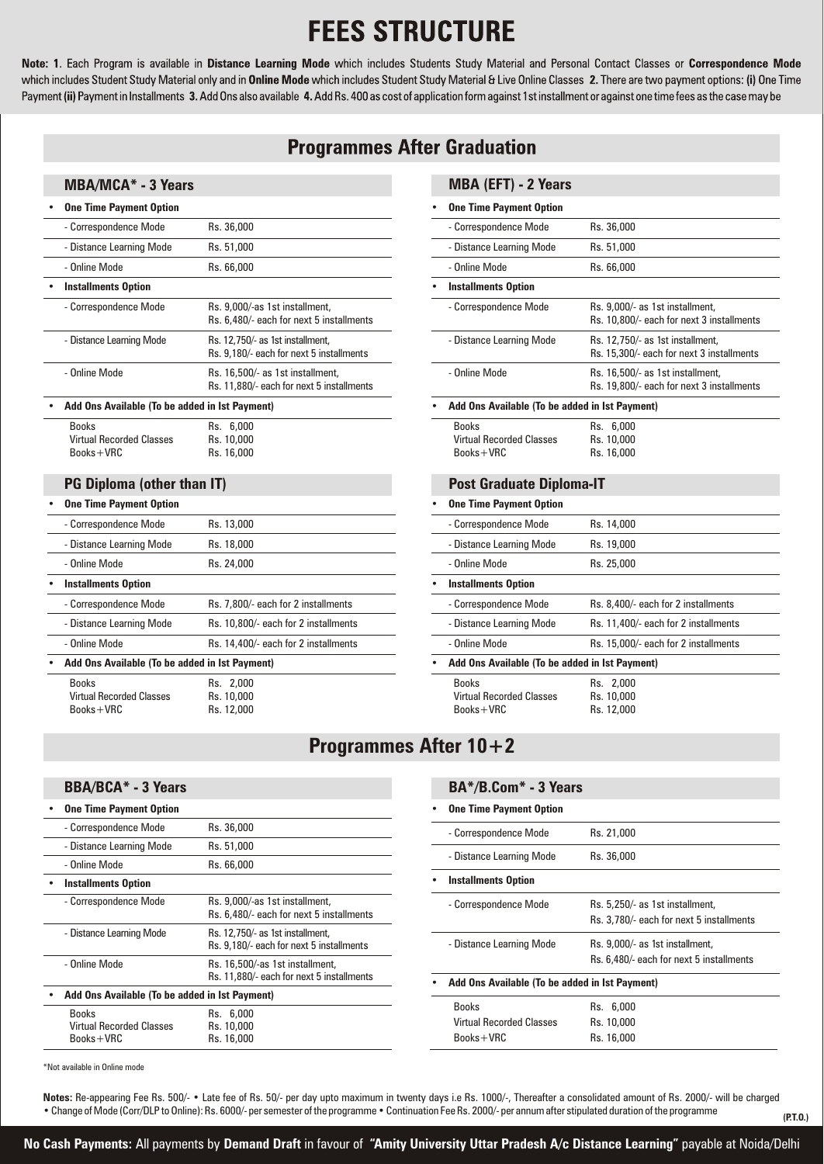## **FEES STRUCTURE**

Note: 1. Each Program is available in Distance Learning Mode which includes Students Study Material and Personal Contact Classes or Correspondence Mode which includes Student Study Material only and in Online Mode which includes Student Study Material & Live Online Classes 2. There are two payment options: (i) One Time Payment (ii) Payment in Installments 3. Add Ons also available 4. Add Rs. 400 as cost of application form against 1st installment or against one time fees as the case may be

## **Programmes After Graduation**

#### **MBA/MCA\* - 3 Years**

| <b>One Time Payment Option</b>                 |                                                                               |
|------------------------------------------------|-------------------------------------------------------------------------------|
| - Correspondence Mode                          | Rs. 36,000                                                                    |
| - Distance Learning Mode                       | Rs. 51,000                                                                    |
| - Online Mode                                  | Rs. 66,000                                                                    |
| <b>Installments Option</b>                     |                                                                               |
| - Correspondence Mode                          | Rs. 9,000/-as 1st installment,<br>Rs. 6.480/- each for next 5 installments    |
| - Distance Learning Mode                       | Rs. 12,750/- as 1st installment,<br>Rs. 9,180/- each for next 5 installments  |
| - Online Mode                                  | Rs. 16,500/- as 1st installment,<br>Rs. 11,880/- each for next 5 installments |
| Add Ons Available (To be added in 1st Payment) |                                                                               |
| <b>Books</b>                                   | Rs.<br>6,000                                                                  |

| <b>BOOKS</b>                    | KS. b.UUU  |
|---------------------------------|------------|
| <b>Virtual Recorded Classes</b> | Rs. 10,000 |
| $Books+VRC$                     | Rs. 16,000 |

### **PG Diploma (other than IT)**

| <b>One Time Payment Option</b>                 |                                      |
|------------------------------------------------|--------------------------------------|
| - Correspondence Mode                          | Rs. 13,000                           |
| - Distance Learning Mode                       | Rs. 18,000                           |
| - Online Mode                                  | Rs. 24,000                           |
| <b>Installments Option</b>                     |                                      |
| - Correspondence Mode                          | Rs. 7.800/- each for 2 installments  |
| - Distance Learning Mode                       | Rs. 10.800/- each for 2 installments |
| - Online Mode                                  | Rs. 14,400/- each for 2 installments |
| Add Ons Available (To be added in 1st Payment) |                                      |
| Books                                          | 2.000<br>Ks.                         |

Virtual Recorded Classes Rs. 10,000<br>Books+VRC Rs. 12,000  $Books+VRC$ 

**• One Time Payment Option**

| MBA (EFT) - 2 Years                                            |                                                                               |  |
|----------------------------------------------------------------|-------------------------------------------------------------------------------|--|
| <b>One Time Payment Option</b>                                 |                                                                               |  |
| - Correspondence Mode                                          | Rs. 36,000                                                                    |  |
| - Distance Learning Mode                                       | Rs. 51,000                                                                    |  |
| - Online Mode                                                  | Rs. 66,000                                                                    |  |
| <b>Installments Option</b>                                     |                                                                               |  |
| - Correspondence Mode                                          | Rs. 9,000/- as 1st installment,<br>Rs. 10,800/- each for next 3 installments  |  |
| - Distance Learning Mode                                       | Rs. 12,750/- as 1st installment,<br>Rs. 15,300/- each for next 3 installments |  |
| - Online Mode                                                  | Rs. 16,500/- as 1st installment,<br>Rs. 19,800/- each for next 3 installments |  |
| Add Ons Available (To be added in 1st Payment)                 |                                                                               |  |
| <b>Books</b><br><b>Virtual Recorded Classes</b><br>$Books+VRC$ | Rs. 6,000<br>Rs. 10,000<br>Rs. 16,000                                         |  |
| <b>Post Graduate Diploma-IT</b>                                |                                                                               |  |
| <b>One Time Payment Option</b>                                 |                                                                               |  |
| - Correspondence Mode                                          | Rs. 14,000                                                                    |  |
| - Distance Learning Mode                                       | Rs. 19,000                                                                    |  |
| - Online Mode                                                  | Rs. 25,000                                                                    |  |
| <b>Installments Option</b>                                     |                                                                               |  |
| - Correspondence Mode                                          | Rs. 8,400/- each for 2 installments                                           |  |
| - Distance Learning Mode                                       | Rs. 11,400/- each for 2 installments                                          |  |
| - Online Mode                                                  | Rs. 15,000/- each for 2 installments                                          |  |
| Add Ons Available (To be added in 1st Payment)                 |                                                                               |  |
| <b>Books</b><br><b>Virtual Recorded Classes</b><br>Books+VRC   | Rs. 2,000<br>Rs. 10,000<br>Rs. 12,000                                         |  |

## **Programmes After 10+2**

| <b>BBA/BCA* - 3 Years</b>                      |                                                                              |                                                | BA*/B.Com* - 3 Years            |                                                                             |  |
|------------------------------------------------|------------------------------------------------------------------------------|------------------------------------------------|---------------------------------|-----------------------------------------------------------------------------|--|
| <b>One Time Payment Option</b>                 |                                                                              |                                                | <b>One Time Payment Option</b>  |                                                                             |  |
| - Correspondence Mode                          | Rs. 36,000                                                                   |                                                | - Correspondence Mode           | Rs. 21,000                                                                  |  |
| - Distance Learning Mode                       | Rs. 51,000                                                                   |                                                |                                 |                                                                             |  |
| - Online Mode                                  | Rs. 66,000                                                                   |                                                | - Distance Learning Mode        | Rs. 36,000                                                                  |  |
| <b>Installments Option</b>                     |                                                                              |                                                | <b>Installments Option</b>      |                                                                             |  |
| - Correspondence Mode                          | Rs. 9.000/-as 1st installment.<br>Rs. 6,480/- each for next 5 installments   |                                                | - Correspondence Mode           | Rs. 5,250/- as 1st installment,<br>Rs. 3,780/- each for next 5 installments |  |
| - Distance Learning Mode                       | Rs. 12,750/- as 1st installment,<br>Rs. 9.180/- each for next 5 installments |                                                | - Distance Learning Mode        | Rs. 9,000/- as 1st installment,                                             |  |
| - Online Mode                                  | Rs. 16,500/-as 1st installment,                                              |                                                |                                 | Rs. 6,480/- each for next 5 installments                                    |  |
|                                                | Rs. 11,880/- each for next 5 installments                                    | Add Ons Available (To be added in 1st Payment) |                                 |                                                                             |  |
| Add Ons Available (To be added in 1st Payment) |                                                                              |                                                | <b>Books</b>                    | Rs. 6,000                                                                   |  |
| Books                                          | Rs. 6,000                                                                    |                                                | <b>Virtual Recorded Classes</b> | Rs. 10,000                                                                  |  |
| <b>Virtual Recorded Classes</b><br>$Books+VRC$ | Rs. 10,000<br>Rs. 16,000                                                     |                                                | $Books+VRC$                     | Rs. 16,000                                                                  |  |

\*Not available in Online mode

**Notes:** Re-appearing Fee Rs. 500/- • Late fee of Rs. 50/- per day upto maximum in twenty days i.e Rs. 1000/-, Thereafter a consolidated amount of Rs. 2000/- will be charged • Change of Mode (Corr/DLP to Online): Rs. 6000/- per semester of the programme • Continuation Fee Rs. 2000/- per annum after stipulated duration of the programme

**No Cash Payments:** All payments by **Demand Draft** in favour of **"Amity University Uttar Pradesh A/c Distance Learning"** payable at Noida/Delhi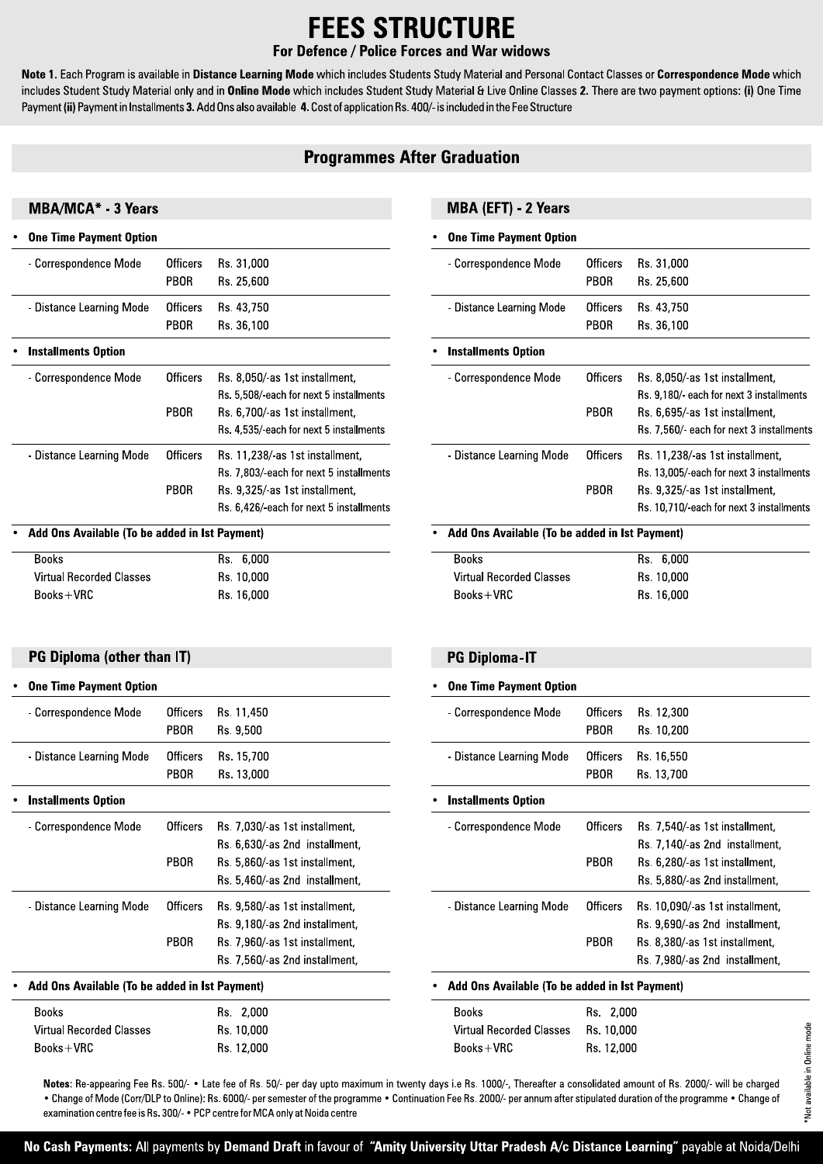# **FEES STRUCTURE**

#### For Defence / Police Forces and War widows

Note 1. Each Program is available in Distance Learning Mode which includes Students Study Material and Personal Contact Classes or Correspondence Mode which includes Student Study Material only and in Online Mode which includes Student Study Material & Live Online Classes 2. There are two payment options: (i) One Time Payment (ii) Payment in Installments 3. Add Ons also available 4. Cost of application Rs. 400/- is included in the Fee Structure

### **Programmes After Graduation**

#### **MBA/MCA\* - 3 Years**

| <b>One Time Payment Option</b>                 |                 |                                        |
|------------------------------------------------|-----------------|----------------------------------------|
| - Correspondence Mode                          | Officers        | Rs. 31,000                             |
|                                                | PBOR            | Rs. 25,600                             |
| - Distance Learning Mode                       | Officers        | Rs. 43,750                             |
|                                                | PBOR            | Rs. 36,100                             |
| <b>Installments Option</b>                     |                 |                                        |
| - Correspondence Mode                          | <b>Officers</b> | Rs. 8,050/as 1st installment,          |
|                                                |                 | Rs. 5.508/each for next 5 installments |
|                                                | PBOR            | Rs. 6,700/as 1st installment,          |
|                                                |                 | Rs. 4,535/each for next 5 installments |
| - Distance Learning Mode                       | Officers        | Rs 11,238/ as 1st installment,         |
|                                                |                 | Rs 7,803/each for next 5 installments  |
|                                                | PBOR            | Rs. 9,325/as 1st installment,          |
|                                                |                 | Rs. 6,426/each for next 5 installments |
| Add Ons Available (To be added in 1st Payment) |                 |                                        |

Rs. 6,000 Rs. 10,000

Rs. 16,000

#### MBA (EFT) - 2 Years

#### **One Time Payment Option**

| - Correspondence Mode                          | Officers | Rs. 31,000                              |
|------------------------------------------------|----------|-----------------------------------------|
|                                                | PBOR     | Rs. 25,600                              |
| - Distance Learning Mode                       | Officers | Rs. 43,750                              |
|                                                | PBOR     | Rs. 36,100                              |
| <b>Installments Option</b>                     |          |                                         |
| - Correspondence Mode                          | Officers | Rs. 8,050/as 1st installment,           |
|                                                |          | Rs. 9.180/ each for next 3 installments |
|                                                | PBOR     | Rs. 6,695/as 1st installment,           |
|                                                |          | Rs. 7,560/ each for next 3 installments |
| - Distance Learning Mode                       | Officers | Rs. 11,238/as 1st installment,          |
|                                                |          | Rs. 13,005/each for next 3 installments |
|                                                | PBOR     | Rs. 9,325/as 1st installment,           |
|                                                |          | Rs. 10,710/each for next 3 installments |
| Add Ons Available (To be added in 1st Payment) |          |                                         |
| <b>Books</b>                                   |          | 6,000<br>Rs.                            |
| Material Districted all Oliveira               |          | 10.000                                  |

| <b>Books</b>                    | Rs. 6,000  |  |
|---------------------------------|------------|--|
| <b>Virtual Recorded Classes</b> | Rs. 10,000 |  |
| $Books+VRC$                     | Rs. 16,000 |  |

#### **PG Diploma (other than IT)**

**Virtual Recorded Classes** 

**Books** 

 $Books + VRC$ 

#### **One Time Payment Option** - Correspondence Mode **Officers** Rs. 11,450 PBOR Rs. 9,500 - Distance Learning Mode **Officers** Rs. 15,700 PBOR Rs. 13,000 Installments Option - Correspondence Mode **Officers** Rs. 7.030/-as 1st installment. Rs. 6,630/-as 2nd installment, PBOR Rs. 5.860/-as 1st installment. Rs. 5,460/-as 2nd installment, - Distance Learning Mode **Officers** Rs. 9,580/-as 1st installment, Rs. 9.180/-as 2nd installment. PBOR Rs. 7,960/-as 1st installment, Rs. 7,560/-as 2nd installment, Add Ons Available (To be added in 1st Payment) **Books** Rs. 2,000 Rs. 10,000 **Virtual Recorded Classes** Books+VRC Rs. 12,000

#### **PG Diploma-IT**

| <b>One Time Payment Option</b>                                                                                                                                                             |                         |                                                                                                                                   |  |  |
|--------------------------------------------------------------------------------------------------------------------------------------------------------------------------------------------|-------------------------|-----------------------------------------------------------------------------------------------------------------------------------|--|--|
| - Correspondence Mode                                                                                                                                                                      | Officers<br>PBOR        | Rs. 12,300<br>Rs. 10,200                                                                                                          |  |  |
| - Distance Learning Mode                                                                                                                                                                   | <b>Officers</b><br>PBOR | Rs. 16,550<br>Rs. 13,700                                                                                                          |  |  |
| Installments Option                                                                                                                                                                        |                         |                                                                                                                                   |  |  |
| - Correspondence Mode                                                                                                                                                                      | Officers<br><b>PBOR</b> | Rs. 7,540/as 1st installment,<br>Rs. 7,140/as 2nd installment,<br>Rs. 6,280/-as 1st installment,<br>Rs. 5,880/as 2nd installment, |  |  |
| - Distance Learning Mode<br>Officers<br>Rs. 10,090/-as 1st installment,<br>Rs. 9,690/as 2nd installment,<br><b>PBOR</b><br>Rs. 8,380/-as 1st installment,<br>Rs 7,980/ as 2nd installment, |                         |                                                                                                                                   |  |  |
| Add Ons Available (To be added in 1st Payment)                                                                                                                                             |                         |                                                                                                                                   |  |  |

## $\sim$   $\sim$   $\sim$

| Books                               | <b>KS 2.000</b> |
|-------------------------------------|-----------------|
| Virtual Recorded Classes Rs. 10.000 |                 |
| $Books+VRC$                         | Rs 12.000       |

Notes: Re-appearing Fee Rs, 500/- • Late fee of Rs, 50/- per day upto maximum in twenty days i.e Rs, 1000/-, Thereafter a consolidated amount of Rs, 2000/- will be charged . Change of Mode (Corr/DLP to Online): Rs. 6000/- per semester of the programme . Continuation Fee Rs. 2000/- per annum after stipulated duration of the programme . Change of examination centre fee is Rs. 300/- • PCP centre for MCA only at Noida centre